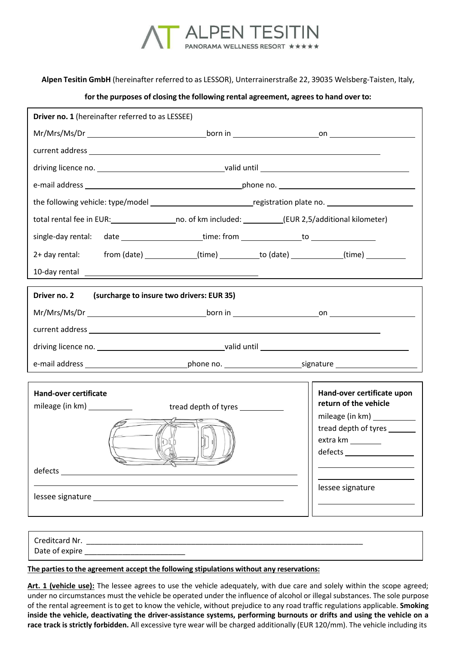

**Alpen Tesitin GmbH** (hereinafter referred to as LESSOR), Unterrainerstraße 22, 39035 Welsberg-Taisten, Italy,

## **for the purposes of closing the following rental agreement, agrees to hand over to:**

| <b>Driver no. 1</b> (hereinafter referred to as LESSEE)                                                                                                                                                                        |                                                                                                                                                                                                                                                                                                                                                                                         |
|--------------------------------------------------------------------------------------------------------------------------------------------------------------------------------------------------------------------------------|-----------------------------------------------------------------------------------------------------------------------------------------------------------------------------------------------------------------------------------------------------------------------------------------------------------------------------------------------------------------------------------------|
|                                                                                                                                                                                                                                |                                                                                                                                                                                                                                                                                                                                                                                         |
|                                                                                                                                                                                                                                |                                                                                                                                                                                                                                                                                                                                                                                         |
|                                                                                                                                                                                                                                |                                                                                                                                                                                                                                                                                                                                                                                         |
|                                                                                                                                                                                                                                |                                                                                                                                                                                                                                                                                                                                                                                         |
| the following vehicle: type/model ________________________________registration plate no. _____________________                                                                                                                 |                                                                                                                                                                                                                                                                                                                                                                                         |
| total rental fee in EUR: _____________________no. of km included: ___________(EUR 2,5/additional kilometer)                                                                                                                    |                                                                                                                                                                                                                                                                                                                                                                                         |
|                                                                                                                                                                                                                                |                                                                                                                                                                                                                                                                                                                                                                                         |
| from (date) _____________(time) __________to (date) _____________(time) _________<br>2+ day rental:                                                                                                                            |                                                                                                                                                                                                                                                                                                                                                                                         |
| 10-day rental experience and the contract of the contract of the contract of the contract of the contract of the contract of the contract of the contract of the contract of the contract of the contract of the contract of t |                                                                                                                                                                                                                                                                                                                                                                                         |
| Driver no. 2<br>(surcharge to insure two drivers: EUR 35)                                                                                                                                                                      |                                                                                                                                                                                                                                                                                                                                                                                         |
|                                                                                                                                                                                                                                |                                                                                                                                                                                                                                                                                                                                                                                         |
|                                                                                                                                                                                                                                |                                                                                                                                                                                                                                                                                                                                                                                         |
|                                                                                                                                                                                                                                |                                                                                                                                                                                                                                                                                                                                                                                         |
|                                                                                                                                                                                                                                |                                                                                                                                                                                                                                                                                                                                                                                         |
|                                                                                                                                                                                                                                |                                                                                                                                                                                                                                                                                                                                                                                         |
| Hand-over certificate                                                                                                                                                                                                          | Hand-over certificate upon                                                                                                                                                                                                                                                                                                                                                              |
| tread depth of tyres ____________                                                                                                                                                                                              | return of the vehicle<br>mileage (in km)                                                                                                                                                                                                                                                                                                                                                |
|                                                                                                                                                                                                                                | tread depth of tyres _______                                                                                                                                                                                                                                                                                                                                                            |
| IPE                                                                                                                                                                                                                            |                                                                                                                                                                                                                                                                                                                                                                                         |
|                                                                                                                                                                                                                                | $defects \begin{tabular}{l} \hline \rule[1mm]{1mm}{0.2cm} \rule[1mm]{1mm}{0.2cm} \rule[1mm]{1mm}{0.2cm} \rule[1mm]{1mm}{0.2cm} \rule[1mm]{1mm}{0.2cm} \rule[1mm]{1mm}{0.2cm} \rule[1mm]{1mm}{0.2cm} \rule[1mm]{1mm}{0.2cm} \rule[1mm]{1mm}{0.2cm} \rule[1mm]{1mm}{0.2cm} \rule[1mm]{1mm}{0.2cm} \rule[1mm]{1mm}{0.2cm} \rule[1mm]{1mm}{0.2cm} \rule[1mm]{1mm}{0.2cm} \rule[1mm]{1mm}{0$ |
| defects                                                                                                                                                                                                                        |                                                                                                                                                                                                                                                                                                                                                                                         |
|                                                                                                                                                                                                                                | lessee signature                                                                                                                                                                                                                                                                                                                                                                        |
|                                                                                                                                                                                                                                |                                                                                                                                                                                                                                                                                                                                                                                         |
|                                                                                                                                                                                                                                |                                                                                                                                                                                                                                                                                                                                                                                         |
|                                                                                                                                                                                                                                |                                                                                                                                                                                                                                                                                                                                                                                         |

## **The partiesto the agreement accept the following stipulations without any reservations:**

Date of expire

**Art. 1 (vehicle use):** The lessee agrees to use the vehicle adequately, with due care and solely within the scope agreed; under no circumstances must the vehicle be operated under the influence of alcohol or illegal substances. The sole purpose of the rental agreement is to get to know the vehicle, without prejudice to any road traffic regulations applicable. **Smoking inside the vehicle, deactivating the driver-assistance systems, performing burnouts or drifts and using the vehicle on a race track is strictly forbidden.** All excessive tyre wear will be charged additionally (EUR 120/mm). The vehicle including its